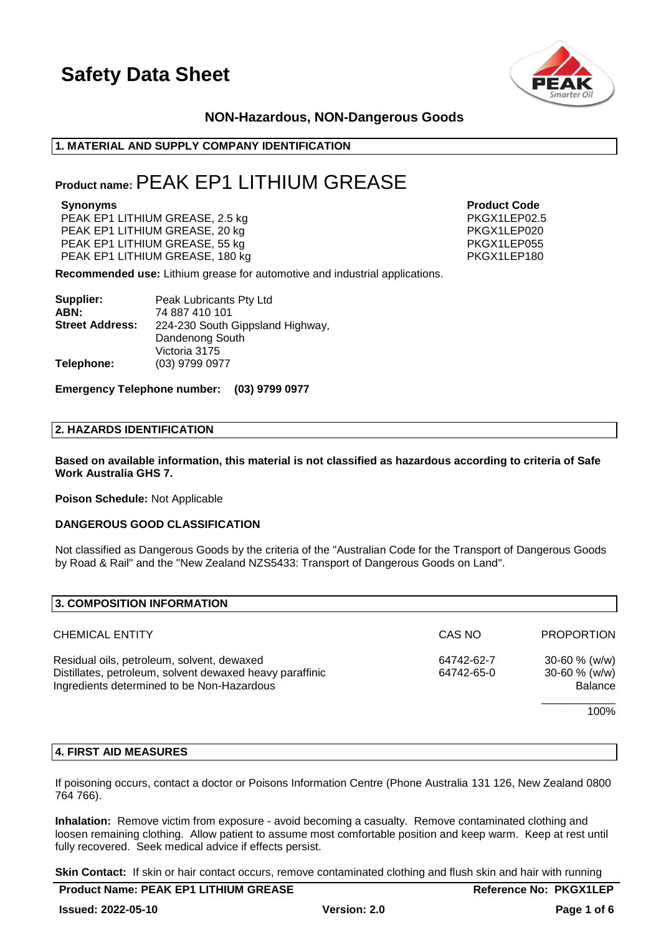

### **NON-Hazardous, NON-Dangerous Goods**

### **1. MATERIAL AND SUPPLY COMPANY IDENTIFICATION**

### **Product name:**PEAK EP1 LITHIUM GREASE

PEAK EP1 LITHIUM GREASE, 2.5 kg PEAK EP1 LITHIUM GREASE, 20 kg PEAK EP1 LITHIUM GREASE, 55 kg PKGX1LEP055 PEAK EP1 LITHIUM GREASE, 180 kg

**Synonyms Product Code**

**Recommended use:** Lithium grease for automotive and industrial applications.

| Supplier:              | Peak Lubricants Pty Ltd          |
|------------------------|----------------------------------|
| ABN:                   | 74 887 410 101                   |
| <b>Street Address:</b> | 224-230 South Gippsland Highway, |
|                        | Dandenong South                  |
|                        | Victoria 3175                    |
| Telephone:             | (03) 9799 0977                   |

**Emergency Telephone number: (03) 9799 0977**

### **2. HAZARDS IDENTIFICATION**

**Based on available information, this material is not classified as hazardous according to criteria of Safe Work Australia GHS 7.**

**Poison Schedule:** Not Applicable

### **DANGEROUS GOOD CLASSIFICATION**

Not classified as Dangerous Goods by the criteria of the "Australian Code for the Transport of Dangerous Goods by Road & Rail" and the "New Zealand NZS5433: Transport of Dangerous Goods on Land".

| 3. COMPOSITION INFORMATION                                                                                                                           |                          |                                                            |
|------------------------------------------------------------------------------------------------------------------------------------------------------|--------------------------|------------------------------------------------------------|
| <b>CHEMICAL ENTITY</b>                                                                                                                               | CAS NO                   | <b>PROPORTION</b>                                          |
| Residual oils, petroleum, solvent, dewaxed<br>Distillates, petroleum, solvent dewaxed heavy paraffinic<br>Ingredients determined to be Non-Hazardous | 64742-62-7<br>64742-65-0 | $30 - 60 \%$ (w/w)<br>$30 - 60 \%$ (w/w)<br><b>Balance</b> |
|                                                                                                                                                      |                          | 100%                                                       |

### **4. FIRST AID MEASURES**

If poisoning occurs, contact a doctor or Poisons Information Centre (Phone Australia 131 126, New Zealand 0800 764 766).

**Inhalation:** Remove victim from exposure - avoid becoming a casualty. Remove contaminated clothing and loosen remaining clothing. Allow patient to assume most comfortable position and keep warm. Keep at rest until fully recovered. Seek medical advice if effects persist.

**Skin Contact:** If skin or hair contact occurs, remove contaminated clothing and flush skin and hair with running

| <b>Product Name: PEAK EP1 LITHIUM GREASE</b> |                     | <b>Reference No: PKGX1LEP</b> |
|----------------------------------------------|---------------------|-------------------------------|
| <b>Issued: 2022-05-10</b>                    | <b>Version: 2.0</b> | Page 1 of 6                   |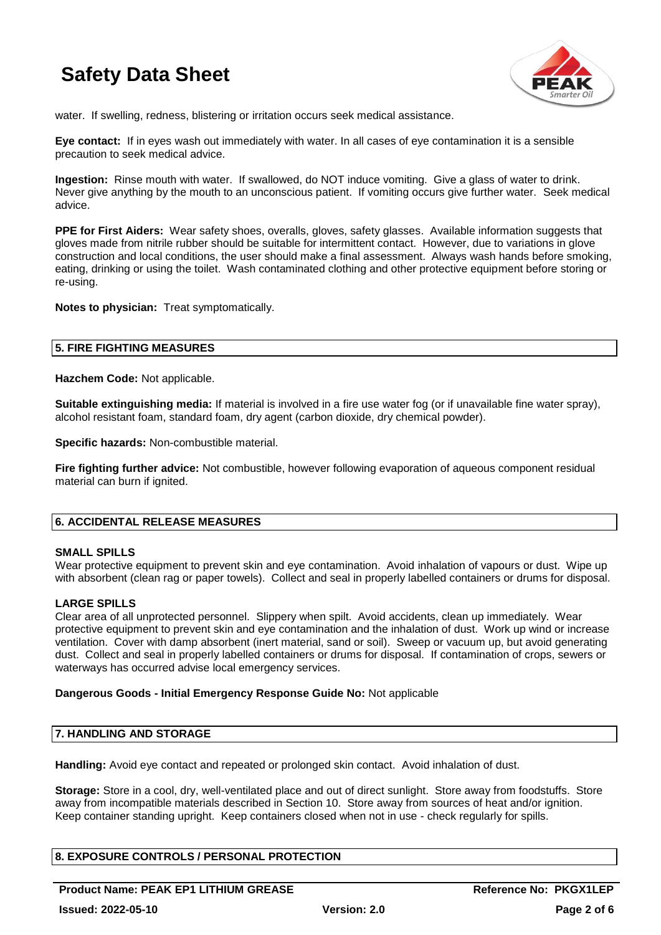

water. If swelling, redness, blistering or irritation occurs seek medical assistance.

**Eye contact:** If in eyes wash out immediately with water. In all cases of eye contamination it is a sensible precaution to seek medical advice.

**Ingestion:** Rinse mouth with water. If swallowed, do NOT induce vomiting. Give a glass of water to drink. Never give anything by the mouth to an unconscious patient. If vomiting occurs give further water. Seek medical advice.

**PPE for First Aiders:** Wear safety shoes, overalls, gloves, safety glasses. Available information suggests that gloves made from nitrile rubber should be suitable for intermittent contact. However, due to variations in glove construction and local conditions, the user should make a final assessment. Always wash hands before smoking, eating, drinking or using the toilet. Wash contaminated clothing and other protective equipment before storing or re-using.

**Notes to physician:** Treat symptomatically.

### **5. FIRE FIGHTING MEASURES**

**Hazchem Code:** Not applicable.

**Suitable extinguishing media:** If material is involved in a fire use water fog (or if unavailable fine water spray), alcohol resistant foam, standard foam, dry agent (carbon dioxide, dry chemical powder).

**Specific hazards:** Non-combustible material.

**Fire fighting further advice:** Not combustible, however following evaporation of aqueous component residual material can burn if ignited.

### **6. ACCIDENTAL RELEASE MEASURES**

### **SMALL SPILLS**

Wear protective equipment to prevent skin and eye contamination. Avoid inhalation of vapours or dust. Wipe up with absorbent (clean rag or paper towels). Collect and seal in properly labelled containers or drums for disposal.

### **LARGE SPILLS**

Clear area of all unprotected personnel. Slippery when spilt. Avoid accidents, clean up immediately. Wear protective equipment to prevent skin and eye contamination and the inhalation of dust. Work up wind or increase ventilation. Cover with damp absorbent (inert material, sand or soil). Sweep or vacuum up, but avoid generating dust. Collect and seal in properly labelled containers or drums for disposal. If contamination of crops, sewers or waterways has occurred advise local emergency services.

### **Dangerous Goods - Initial Emergency Response Guide No:** Not applicable

### **7. HANDLING AND STORAGE**

**Handling:** Avoid eye contact and repeated or prolonged skin contact. Avoid inhalation of dust.

**Storage:** Store in a cool, dry, well-ventilated place and out of direct sunlight. Store away from foodstuffs. Store away from incompatible materials described in Section 10. Store away from sources of heat and/or ignition. Keep container standing upright. Keep containers closed when not in use - check regularly for spills.

### **8. EXPOSURE CONTROLS / PERSONAL PROTECTION**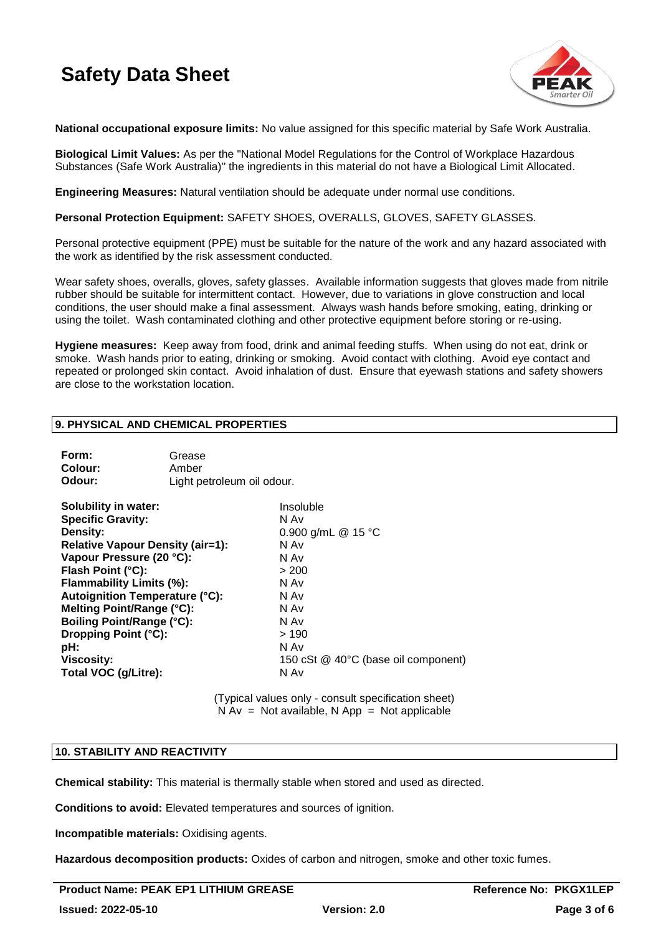

**National occupational exposure limits:** No value assigned for this specific material by Safe Work Australia.

**Biological Limit Values:** As per the "National Model Regulations for the Control of Workplace Hazardous Substances (Safe Work Australia)" the ingredients in this material do not have a Biological Limit Allocated.

**Engineering Measures:** Natural ventilation should be adequate under normal use conditions.

**Personal Protection Equipment:** SAFETY SHOES, OVERALLS, GLOVES, SAFETY GLASSES.

Personal protective equipment (PPE) must be suitable for the nature of the work and any hazard associated with the work as identified by the risk assessment conducted.

Wear safety shoes, overalls, gloves, safety glasses. Available information suggests that gloves made from nitrile rubber should be suitable for intermittent contact. However, due to variations in glove construction and local conditions, the user should make a final assessment. Always wash hands before smoking, eating, drinking or using the toilet. Wash contaminated clothing and other protective equipment before storing or re-using.

**Hygiene measures:** Keep away from food, drink and animal feeding stuffs. When using do not eat, drink or smoke. Wash hands prior to eating, drinking or smoking. Avoid contact with clothing. Avoid eye contact and repeated or prolonged skin contact. Avoid inhalation of dust. Ensure that eyewash stations and safety showers are close to the workstation location.

### **9. PHYSICAL AND CHEMICAL PROPERTIES**

| Form:<br>Colour:<br>Odour:                                                                                                                                                                                                                                                                                                                                   | Grease<br>Amber<br>Light petroleum oil odour. |                                                                                                                                                                 |
|--------------------------------------------------------------------------------------------------------------------------------------------------------------------------------------------------------------------------------------------------------------------------------------------------------------------------------------------------------------|-----------------------------------------------|-----------------------------------------------------------------------------------------------------------------------------------------------------------------|
| Solubility in water:<br><b>Specific Gravity:</b><br>Density:<br><b>Relative Vapour Density (air=1):</b><br>Vapour Pressure (20 °C):<br>Flash Point (°C):<br>Flammability Limits (%):<br>Autoignition Temperature (°C):<br>Melting Point/Range (°C):<br><b>Boiling Point/Range (°C):</b><br>Dropping Point (°C):<br>pH:<br>Viscosity:<br>Total VOC (g/Litre): |                                               | Insoluble<br>N Av<br>0.900 g/mL @ 15 °C<br>N Av<br>N Av<br>> 200<br>N Av<br>N Av<br>N Av<br>N Av<br>>190<br>N Av<br>150 cSt @ 40°C (base oil component)<br>N Av |
|                                                                                                                                                                                                                                                                                                                                                              |                                               |                                                                                                                                                                 |

(Typical values only - consult specification sheet)  $N Av = Not available, N App = Not applicable$ 

### **10. STABILITY AND REACTIVITY**

**Chemical stability:** This material is thermally stable when stored and used as directed.

**Conditions to avoid:** Elevated temperatures and sources of ignition.

**Incompatible materials:** Oxidising agents.

**Hazardous decomposition products:** Oxides of carbon and nitrogen, smoke and other toxic fumes.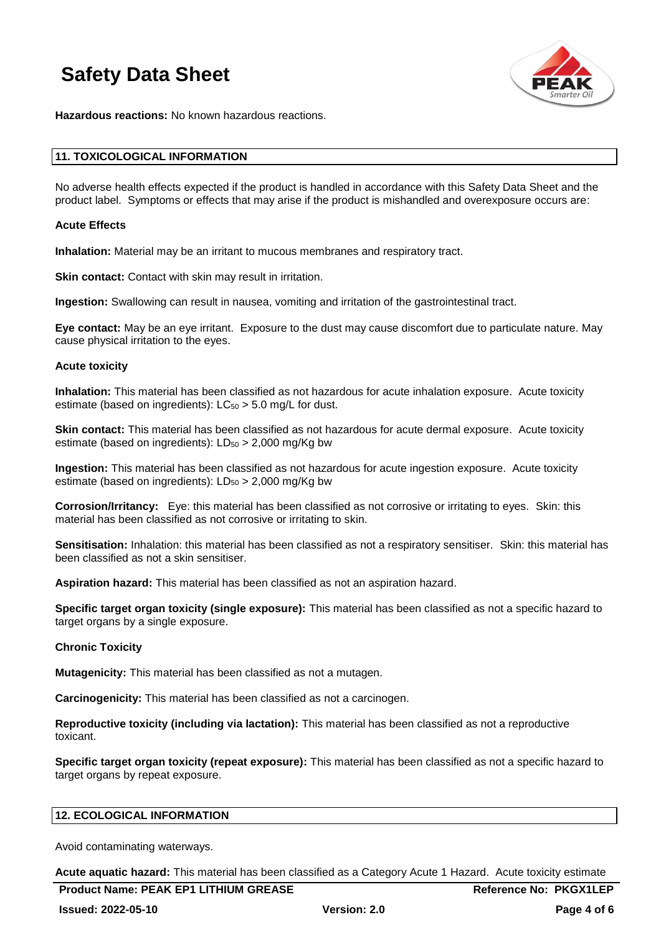

**Hazardous reactions:** No known hazardous reactions.

### **11. TOXICOLOGICAL INFORMATION**

No adverse health effects expected if the product is handled in accordance with this Safety Data Sheet and the product label. Symptoms or effects that may arise if the product is mishandled and overexposure occurs are:

### **Acute Effects**

**Inhalation:** Material may be an irritant to mucous membranes and respiratory tract.

**Skin contact:** Contact with skin may result in irritation.

**Ingestion:** Swallowing can result in nausea, vomiting and irritation of the gastrointestinal tract.

**Eye contact:** May be an eye irritant. Exposure to the dust may cause discomfort due to particulate nature. May cause physical irritation to the eyes.

#### **Acute toxicity**

**Inhalation:** This material has been classified as not hazardous for acute inhalation exposure. Acute toxicity estimate (based on ingredients):  $LC_{50} > 5.0$  mg/L for dust.

**Skin contact:** This material has been classified as not hazardous for acute dermal exposure. Acute toxicity estimate (based on ingredients):  $LD_{50} > 2,000$  mg/Kg bw

**Ingestion:** This material has been classified as not hazardous for acute ingestion exposure. Acute toxicity estimate (based on ingredients):  $LD_{50} > 2,000$  mg/Kg bw

**Corrosion/Irritancy:** Eye: this material has been classified as not corrosive or irritating to eyes. Skin: this material has been classified as not corrosive or irritating to skin.

**Sensitisation:** Inhalation: this material has been classified as not a respiratory sensitiser. Skin: this material has been classified as not a skin sensitiser.

**Aspiration hazard:** This material has been classified as not an aspiration hazard.

**Specific target organ toxicity (single exposure):** This material has been classified as not a specific hazard to target organs by a single exposure.

### **Chronic Toxicity**

**Mutagenicity:** This material has been classified as not a mutagen.

**Carcinogenicity:** This material has been classified as not a carcinogen.

**Reproductive toxicity (including via lactation):** This material has been classified as not a reproductive toxicant.

**Specific target organ toxicity (repeat exposure):** This material has been classified as not a specific hazard to target organs by repeat exposure.

### **12. ECOLOGICAL INFORMATION**

Avoid contaminating waterways.

**Acute aquatic hazard:** This material has been classified as a Category Acute 1 Hazard. Acute toxicity estimate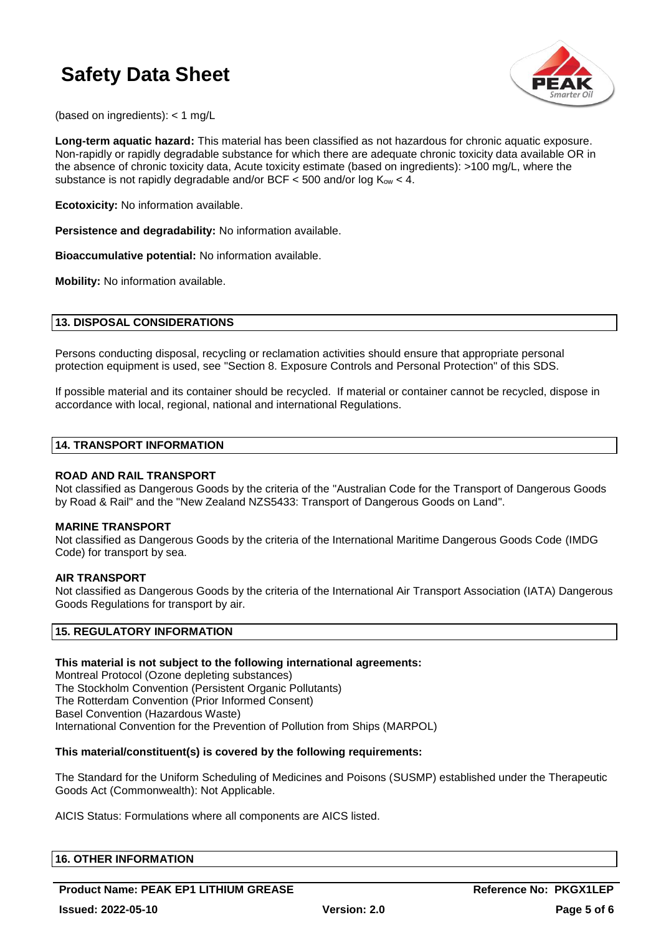

(based on ingredients): < 1 mg/L

**Long-term aquatic hazard:** This material has been classified as not hazardous for chronic aquatic exposure. Non-rapidly or rapidly degradable substance for which there are adequate chronic toxicity data available OR in the absence of chronic toxicity data, Acute toxicity estimate (based on ingredients): >100 mg/L, where the substance is not rapidly degradable and/or BCF < 500 and/or log  $K_{ow}$  < 4.

**Ecotoxicity:** No information available.

**Persistence and degradability:** No information available.

**Bioaccumulative potential:** No information available.

**Mobility:** No information available.

### **13. DISPOSAL CONSIDERATIONS**

Persons conducting disposal, recycling or reclamation activities should ensure that appropriate personal protection equipment is used, see "Section 8. Exposure Controls and Personal Protection" of this SDS.

If possible material and its container should be recycled. If material or container cannot be recycled, dispose in accordance with local, regional, national and international Regulations.

### **14. TRANSPORT INFORMATION**

### **ROAD AND RAIL TRANSPORT**

Not classified as Dangerous Goods by the criteria of the "Australian Code for the Transport of Dangerous Goods by Road & Rail" and the "New Zealand NZS5433: Transport of Dangerous Goods on Land".

### **MARINE TRANSPORT**

Not classified as Dangerous Goods by the criteria of the International Maritime Dangerous Goods Code (IMDG Code) for transport by sea.

### **AIR TRANSPORT**

Not classified as Dangerous Goods by the criteria of the International Air Transport Association (IATA) Dangerous Goods Regulations for transport by air.

### **15. REGULATORY INFORMATION**

### **This material is not subject to the following international agreements:**

Montreal Protocol (Ozone depleting substances) The Stockholm Convention (Persistent Organic Pollutants) The Rotterdam Convention (Prior Informed Consent) Basel Convention (Hazardous Waste) International Convention for the Prevention of Pollution from Ships (MARPOL)

### **This material/constituent(s) is covered by the following requirements:**

The Standard for the Uniform Scheduling of Medicines and Poisons (SUSMP) established under the Therapeutic Goods Act (Commonwealth): Not Applicable.

AICIS Status: Formulations where all components are AICS listed.

### **16. OTHER INFORMATION**

**Product Name: PEAK EP1 LITHIUM GREASE <b>Reference No: PKGX1LEP**